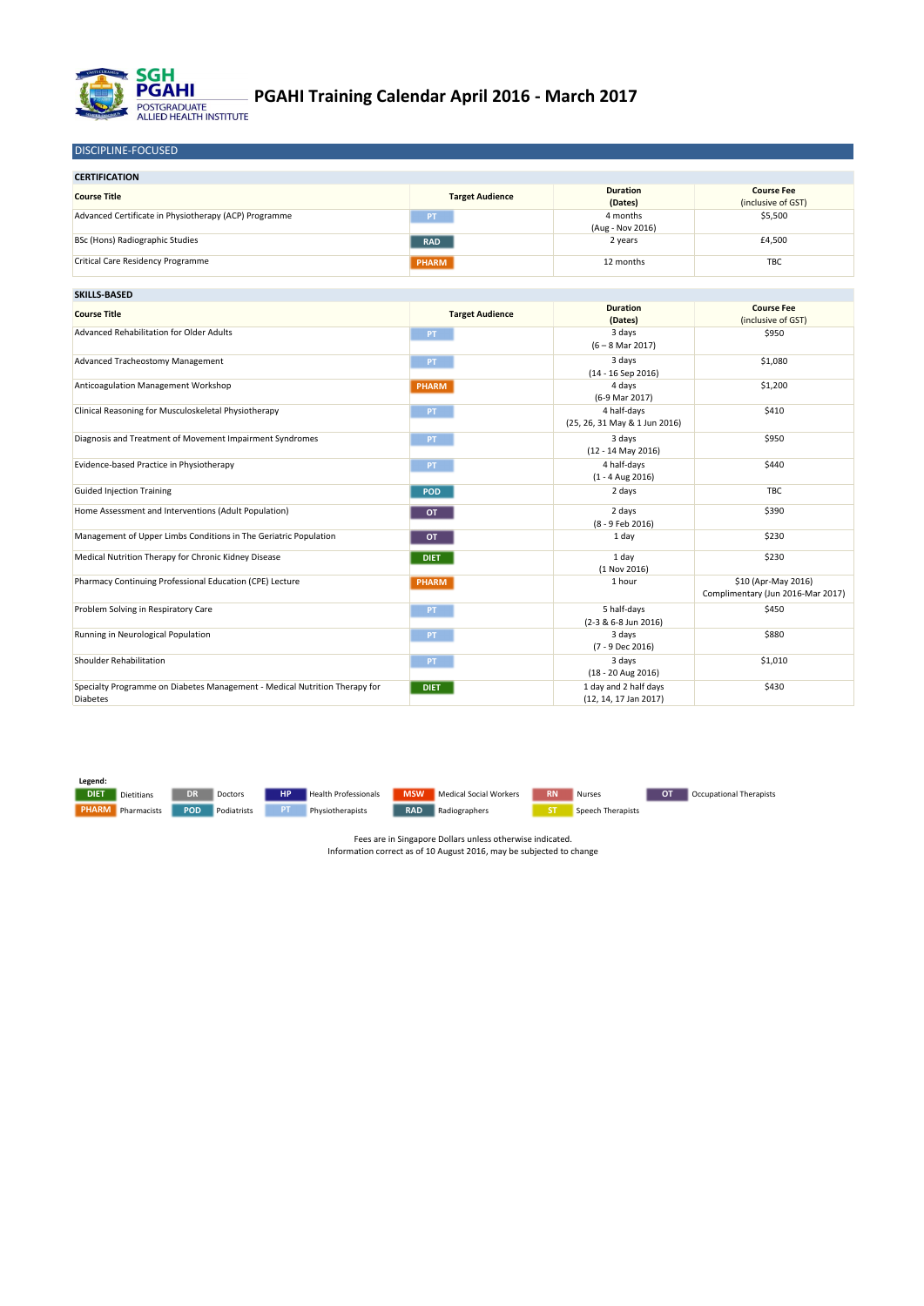| <b>CERTIFICATION</b>                                  |                        |                              |                                         |
|-------------------------------------------------------|------------------------|------------------------------|-----------------------------------------|
| <b>Course Title</b>                                   | <b>Target Audience</b> | <b>Duration</b><br>(Dates)   | <b>Course Fee</b><br>(inclusive of GST) |
| Advanced Certificate in Physiotherapy (ACP) Programme | <b>PT</b>              | 4 months<br>(Aug - Nov 2016) | \$5,500                                 |
| BSc (Hons) Radiographic Studies                       | <b>RAD</b>             | 2 years                      | £4,500                                  |
| <b>Critical Care Residency Programme</b>              | <b>PHARM</b>           | 12 months                    | <b>TBC</b>                              |

| <b>SKILLS-BASED</b>                                                                           |                        |                                                  |                                                          |
|-----------------------------------------------------------------------------------------------|------------------------|--------------------------------------------------|----------------------------------------------------------|
| <b>Course Title</b>                                                                           | <b>Target Audience</b> | <b>Duration</b><br>(Dates)                       | <b>Course Fee</b><br>(inclusive of GST)                  |
| <b>Advanced Rehabilitation for Older Adults</b>                                               | PT.                    | 3 days<br>$(6 - 8$ Mar 2017)                     | \$950                                                    |
| Advanced Tracheostomy Management                                                              | PT.                    | 3 days<br>$(14 - 16$ Sep 2016)                   | \$1,080                                                  |
| <b>Anticoagulation Management Workshop</b>                                                    | <b>PHARM</b>           | 4 days<br>(6-9 Mar 2017)                         | \$1,200                                                  |
| Clinical Reasoning for Musculoskeletal Physiotherapy                                          | PT.                    | 4 half-days<br>(25, 26, 31 May & 1 Jun 2016)     | \$410                                                    |
| Diagnosis and Treatment of Movement Impairment Syndromes                                      | PT.                    | 3 days<br>$(12 - 14$ May 2016)                   | \$950                                                    |
| Evidence-based Practice in Physiotherapy                                                      | PT                     | 4 half-days<br>$(1 - 4$ Aug 2016)                | \$440                                                    |
| <b>Guided Injection Training</b>                                                              | <b>POD</b>             | 2 days                                           | <b>TBC</b>                                               |
| Home Assessment and Interventions (Adult Population)                                          | <b>OT</b>              | 2 days<br>(8 - 9 Feb 2016)                       | \$390                                                    |
| Management of Upper Limbs Conditions in The Geriatric Population                              | <b>OT</b>              | 1 day                                            | \$230                                                    |
| Medical Nutrition Therapy for Chronic Kidney Disease                                          | <b>DIET</b>            | 1 day<br>(1 Nov 2016)                            | \$230                                                    |
| Pharmacy Continuing Professional Education (CPE) Lecture                                      | <b>PHARM</b>           | 1 hour                                           | \$10 (Apr-May 2016)<br>Complimentary (Jun 2016-Mar 2017) |
| Problem Solving in Respiratory Care                                                           | PT.                    | 5 half-days<br>(2-3 & 6-8 Jun 2016)              | \$450                                                    |
| Running in Neurological Population                                                            | PT                     | 3 days<br>(7 - 9 Dec 2016)                       | \$880                                                    |
| <b>Shoulder Rehabilitation</b>                                                                | PT.                    | 3 days<br>$(18 - 20$ Aug 2016)                   | \$1,010                                                  |
| Specialty Programme on Diabetes Management - Medical Nutrition Therapy for<br><b>Diabetes</b> | <b>DIET</b>            | 1 day and 2 half days<br>$(12, 14, 17$ Jan 2017) | \$430                                                    |

DISCIPLINE-FOCUSED

Fees are in Singapore Dollars unless otherwise indicated. Information correct as of 10 August 2016, may be subjected to change



## **PGAHI Training Calendar April 2016 - March 2017**

**Legend:**

DIET Dietitians DR Doctors HP Health Professionals MSW Medical Social Workers RN Nurses OT Occupational Therapists

**PHARM** Pharmacists POD Podiatrists PT Physiotherapists RAD Radiographers ST Speech Therapists

**DIET** Dietitians SDR Doctors SNP Health Professionals MSW Medical Social Workers RN Nurses SNP OT